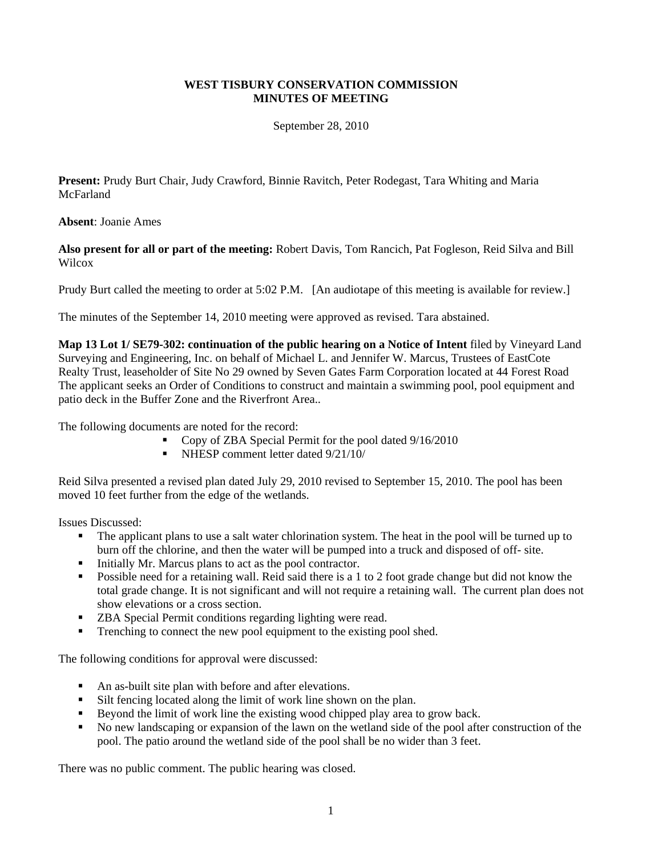## **WEST TISBURY CONSERVATION COMMISSION MINUTES OF MEETING**

September 28, 2010

**Present:** Prudy Burt Chair, Judy Crawford, Binnie Ravitch, Peter Rodegast, Tara Whiting and Maria **McFarland** 

## **Absent**: Joanie Ames

**Also present for all or part of the meeting:** Robert Davis, Tom Rancich, Pat Fogleson, Reid Silva and Bill Wilcox

Prudy Burt called the meeting to order at 5:02 P.M. [An audiotape of this meeting is available for review.]

The minutes of the September 14, 2010 meeting were approved as revised. Tara abstained.

**Map 13 Lot 1/ SE79-302: continuation of the public hearing on a Notice of Intent** filed by Vineyard Land Surveying and Engineering, Inc. on behalf of Michael L. and Jennifer W. Marcus, Trustees of EastCote Realty Trust, leaseholder of Site No 29 owned by Seven Gates Farm Corporation located at 44 Forest Road The applicant seeks an Order of Conditions to construct and maintain a swimming pool, pool equipment and patio deck in the Buffer Zone and the Riverfront Area..

The following documents are noted for the record:

- Copy of ZBA Special Permit for the pool dated 9/16/2010
- NHESP comment letter dated 9/21/10/

Reid Silva presented a revised plan dated July 29, 2010 revised to September 15, 2010. The pool has been moved 10 feet further from the edge of the wetlands.

Issues Discussed:

- The applicant plans to use a salt water chlorination system. The heat in the pool will be turned up to burn off the chlorine, and then the water will be pumped into a truck and disposed of off- site.
- Initially Mr. Marcus plans to act as the pool contractor.
- Possible need for a retaining wall. Reid said there is a 1 to 2 foot grade change but did not know the total grade change. It is not significant and will not require a retaining wall. The current plan does not show elevations or a cross section.
- **ZBA Special Permit conditions regarding lighting were read.**
- Trenching to connect the new pool equipment to the existing pool shed.

The following conditions for approval were discussed:

- An as-built site plan with before and after elevations.
- Silt fencing located along the limit of work line shown on the plan.
- Beyond the limit of work line the existing wood chipped play area to grow back.
- No new landscaping or expansion of the lawn on the wetland side of the pool after construction of the pool. The patio around the wetland side of the pool shall be no wider than 3 feet.

There was no public comment. The public hearing was closed.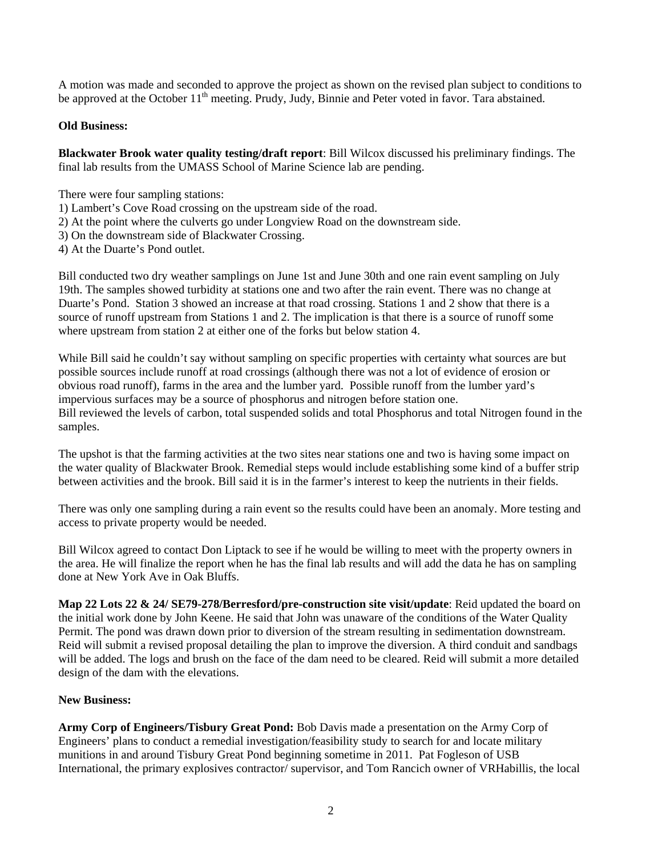A motion was made and seconded to approve the project as shown on the revised plan subject to conditions to be approved at the October 11<sup>th</sup> meeting. Prudy, Judy, Binnie and Peter voted in favor. Tara abstained.

## **Old Business:**

**Blackwater Brook water quality testing/draft report**: Bill Wilcox discussed his preliminary findings. The final lab results from the UMASS School of Marine Science lab are pending.

There were four sampling stations:

- 1) Lambert's Cove Road crossing on the upstream side of the road.
- 2) At the point where the culverts go under Longview Road on the downstream side.
- 3) On the downstream side of Blackwater Crossing.
- 4) At the Duarte's Pond outlet.

Bill conducted two dry weather samplings on June 1st and June 30th and one rain event sampling on July 19th. The samples showed turbidity at stations one and two after the rain event. There was no change at Duarte's Pond. Station 3 showed an increase at that road crossing. Stations 1 and 2 show that there is a source of runoff upstream from Stations 1 and 2. The implication is that there is a source of runoff some where upstream from station 2 at either one of the forks but below station 4.

While Bill said he couldn't say without sampling on specific properties with certainty what sources are but possible sources include runoff at road crossings (although there was not a lot of evidence of erosion or obvious road runoff), farms in the area and the lumber yard. Possible runoff from the lumber yard's impervious surfaces may be a source of phosphorus and nitrogen before station one. Bill reviewed the levels of carbon, total suspended solids and total Phosphorus and total Nitrogen found in the samples.

The upshot is that the farming activities at the two sites near stations one and two is having some impact on the water quality of Blackwater Brook. Remedial steps would include establishing some kind of a buffer strip between activities and the brook. Bill said it is in the farmer's interest to keep the nutrients in their fields.

There was only one sampling during a rain event so the results could have been an anomaly. More testing and access to private property would be needed.

Bill Wilcox agreed to contact Don Liptack to see if he would be willing to meet with the property owners in the area. He will finalize the report when he has the final lab results and will add the data he has on sampling done at New York Ave in Oak Bluffs.

**Map 22 Lots 22 & 24/ SE79-278/Berresford/pre-construction site visit/update**: Reid updated the board on the initial work done by John Keene. He said that John was unaware of the conditions of the Water Quality Permit. The pond was drawn down prior to diversion of the stream resulting in sedimentation downstream. Reid will submit a revised proposal detailing the plan to improve the diversion. A third conduit and sandbags will be added. The logs and brush on the face of the dam need to be cleared. Reid will submit a more detailed design of the dam with the elevations.

## **New Business:**

**Army Corp of Engineers/Tisbury Great Pond:** Bob Davis made a presentation on the Army Corp of Engineers' plans to conduct a remedial investigation/feasibility study to search for and locate military munitions in and around Tisbury Great Pond beginning sometime in 2011. Pat Fogleson of USB International, the primary explosives contractor/ supervisor, and Tom Rancich owner of VRHabillis, the local